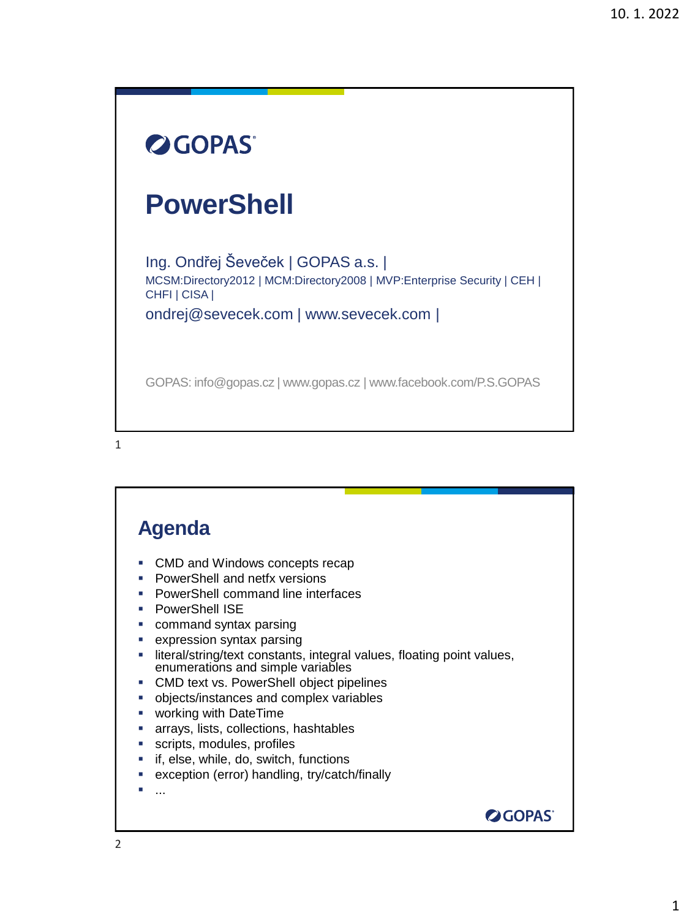## **OGOPAS PowerShell** Ing. Ondřej Ševeček | GOPAS a.s. | MCSM:Directory2012 | MCM:Directory2008 | MVP:Enterprise Security | CEH | CHFI | CISA | ondrej@sevecek.com | www.sevecek.com | GOPAS: info@gopas.cz | www.gopas.cz | www.facebook.com/P.S.GOPAS

## 1

## **Agenda**

- CMD and Windows concepts recap
- PowerShell and netfx versions
- PowerShell command line interfaces
- **PowerShell ISE**
- command syntax parsing
- expression syntax parsing
- **·** literal/string/text constants, integral values, floating point values, enumerations and simple variables
- CMD text vs. PowerShell object pipelines
- objects/instances and complex variables
- working with DateTime
- **EXEC** arrays, lists, collections, hashtables
- scripts, modules, profiles
- **•** if, else, while, do, switch, functions
- exception (error) handling, try/catch/finally
- ...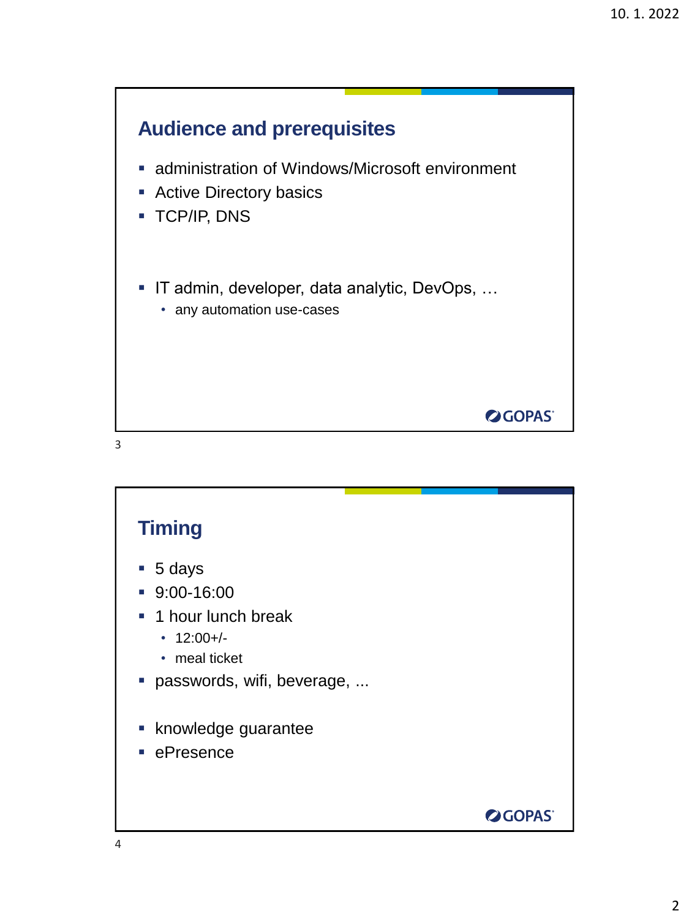

| <b>Timing</b>                                                                                                                      |           |
|------------------------------------------------------------------------------------------------------------------------------------|-----------|
| $\blacksquare$ 5 days<br>$9:00-16:00$<br>• 1 hour lunch break<br>$\cdot$ 12:00+/-<br>• meal ticket<br>· passwords, wifi, beverage, |           |
| • knowledge guarantee<br>• ePresence                                                                                               | $O$ GOPAS |